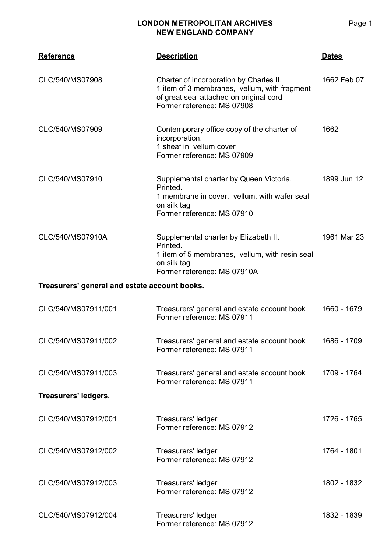| <b>Reference</b>                              | <b>Description</b>                                                                                                                                               | <b>Dates</b> |  |
|-----------------------------------------------|------------------------------------------------------------------------------------------------------------------------------------------------------------------|--------------|--|
| CLC/540/MS07908                               | Charter of incorporation by Charles II.<br>1 item of 3 membranes, vellum, with fragment<br>of great seal attached on original cord<br>Former reference: MS 07908 | 1662 Feb 07  |  |
| CLC/540/MS07909                               | Contemporary office copy of the charter of<br>incorporation.<br>1 sheaf in vellum cover<br>Former reference: MS 07909                                            | 1662         |  |
| CLC/540/MS07910                               | Supplemental charter by Queen Victoria.<br>Printed.<br>1 membrane in cover, vellum, with wafer seal<br>on silk tag<br>Former reference: MS 07910                 | 1899 Jun 12  |  |
| CLC/540/MS07910A                              | Supplemental charter by Elizabeth II.<br>Printed.<br>1 item of 5 membranes, vellum, with resin seal<br>on silk tag<br>Former reference: MS 07910A                | 1961 Mar 23  |  |
| Treasurers' general and estate account books. |                                                                                                                                                                  |              |  |
| CLC/540/MS07911/001                           | Treasurers' general and estate account book<br>Former reference: MS 07911                                                                                        | 1660 - 1679  |  |
| CLC/540/MS07911/002                           | Treasurers' general and estate account book<br>Former reference: MS 07911                                                                                        | 1686 - 1709  |  |
| CLC/540/MS07911/003                           | Treasurers' general and estate account book<br>Former reference: MS 07911                                                                                        | 1709 - 1764  |  |
| Treasurers' ledgers.                          |                                                                                                                                                                  |              |  |
| CLC/540/MS07912/001                           | Treasurers' ledger<br>Former reference: MS 07912                                                                                                                 | 1726 - 1765  |  |
| CLC/540/MS07912/002                           | Treasurers' ledger<br>Former reference: MS 07912                                                                                                                 | 1764 - 1801  |  |
| CLC/540/MS07912/003                           | Treasurers' ledger<br>Former reference: MS 07912                                                                                                                 | 1802 - 1832  |  |
| CLC/540/MS07912/004                           | Treasurers' ledger<br>Former reference: MS 07912                                                                                                                 | 1832 - 1839  |  |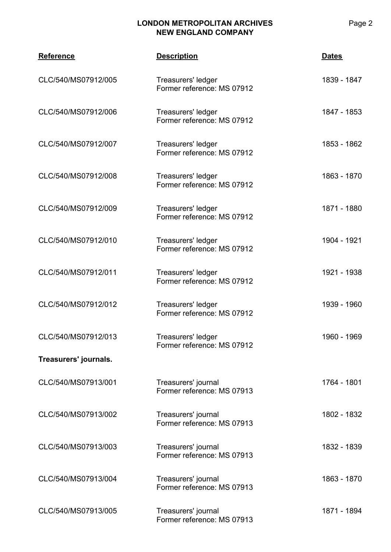| <b>Reference</b>      | <b>Description</b>                                | <u>Dates</u> |
|-----------------------|---------------------------------------------------|--------------|
| CLC/540/MS07912/005   | Treasurers' ledger<br>Former reference: MS 07912  | 1839 - 1847  |
| CLC/540/MS07912/006   | Treasurers' ledger<br>Former reference: MS 07912  | 1847 - 1853  |
| CLC/540/MS07912/007   | Treasurers' ledger<br>Former reference: MS 07912  | 1853 - 1862  |
| CLC/540/MS07912/008   | Treasurers' ledger<br>Former reference: MS 07912  | 1863 - 1870  |
| CLC/540/MS07912/009   | Treasurers' ledger<br>Former reference: MS 07912  | 1871 - 1880  |
| CLC/540/MS07912/010   | Treasurers' ledger<br>Former reference: MS 07912  | 1904 - 1921  |
| CLC/540/MS07912/011   | Treasurers' ledger<br>Former reference: MS 07912  | 1921 - 1938  |
| CLC/540/MS07912/012   | Treasurers' ledger<br>Former reference: MS 07912  | 1939 - 1960  |
| CLC/540/MS07912/013   | Treasurers' ledger<br>Former reference: MS 07912  | 1960 - 1969  |
| Treasurers' journals. |                                                   |              |
| CLC/540/MS07913/001   | Treasurers' journal<br>Former reference: MS 07913 | 1764 - 1801  |
| CLC/540/MS07913/002   | Treasurers' journal<br>Former reference: MS 07913 | 1802 - 1832  |
| CLC/540/MS07913/003   | Treasurers' journal<br>Former reference: MS 07913 | 1832 - 1839  |
| CLC/540/MS07913/004   | Treasurers' journal<br>Former reference: MS 07913 | 1863 - 1870  |
| CLC/540/MS07913/005   | Treasurers' journal<br>Former reference: MS 07913 | 1871 - 1894  |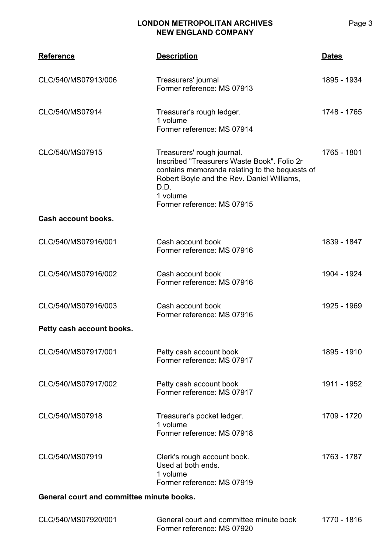| <b>Reference</b>                          | <b>Description</b>                                                                                                                                                                                                          | <b>Dates</b> |
|-------------------------------------------|-----------------------------------------------------------------------------------------------------------------------------------------------------------------------------------------------------------------------------|--------------|
| CLC/540/MS07913/006                       | Treasurers' journal<br>Former reference: MS 07913                                                                                                                                                                           | 1895 - 1934  |
| CLC/540/MS07914                           | Treasurer's rough ledger.<br>1 volume<br>Former reference: MS 07914                                                                                                                                                         | 1748 - 1765  |
| CLC/540/MS07915                           | Treasurers' rough journal.<br>Inscribed "Treasurers Waste Book". Folio 2r<br>contains memoranda relating to the bequests of<br>Robert Boyle and the Rev. Daniel Williams,<br>D.D.<br>1 volume<br>Former reference: MS 07915 | 1765 - 1801  |
| Cash account books.                       |                                                                                                                                                                                                                             |              |
| CLC/540/MS07916/001                       | Cash account book<br>Former reference: MS 07916                                                                                                                                                                             | 1839 - 1847  |
| CLC/540/MS07916/002                       | Cash account book<br>Former reference: MS 07916                                                                                                                                                                             | 1904 - 1924  |
| CLC/540/MS07916/003                       | Cash account book<br>Former reference: MS 07916                                                                                                                                                                             | 1925 - 1969  |
| Petty cash account books.                 |                                                                                                                                                                                                                             |              |
| CLC/540/MS07917/001                       | Petty cash account book<br>Former reference: MS 07917                                                                                                                                                                       | 1895 - 1910  |
| CLC/540/MS07917/002                       | Petty cash account book<br>Former reference: MS 07917                                                                                                                                                                       | 1911 - 1952  |
| CLC/540/MS07918                           | Treasurer's pocket ledger.<br>1 volume<br>Former reference: MS 07918                                                                                                                                                        | 1709 - 1720  |
| CLC/540/MS07919                           | Clerk's rough account book.<br>Used at both ends.<br>1 volume<br>Former reference: MS 07919                                                                                                                                 | 1763 - 1787  |
| General court and committee minute books. |                                                                                                                                                                                                                             |              |

| CLC/540/MS07920/001 | General court and committee minute book | 1770 - 1816 |  |
|---------------------|-----------------------------------------|-------------|--|
|                     | Former reference: MS 07920              |             |  |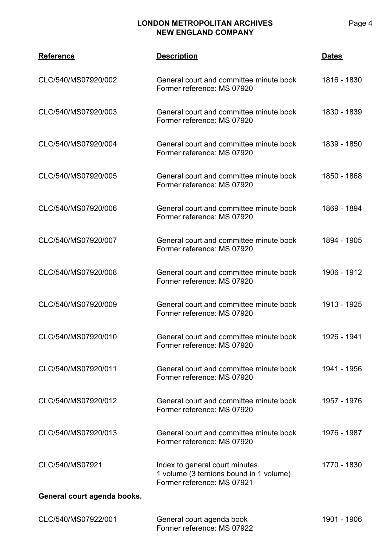| <b>Reference</b>            | <b>Description</b>                                                                                       | <b>Dates</b> |
|-----------------------------|----------------------------------------------------------------------------------------------------------|--------------|
| CLC/540/MS07920/002         | General court and committee minute book<br>Former reference: MS 07920                                    | 1816 - 1830  |
| CLC/540/MS07920/003         | General court and committee minute book<br>Former reference: MS 07920                                    | 1830 - 1839  |
| CLC/540/MS07920/004         | General court and committee minute book<br>Former reference: MS 07920                                    | 1839 - 1850  |
| CLC/540/MS07920/005         | General court and committee minute book<br>Former reference: MS 07920                                    | 1850 - 1868  |
| CLC/540/MS07920/006         | General court and committee minute book<br>Former reference: MS 07920                                    | 1869 - 1894  |
| CLC/540/MS07920/007         | General court and committee minute book<br>Former reference: MS 07920                                    | 1894 - 1905  |
| CLC/540/MS07920/008         | General court and committee minute book<br>Former reference: MS 07920                                    | 1906 - 1912  |
| CLC/540/MS07920/009         | General court and committee minute book<br>Former reference: MS 07920                                    | 1913 - 1925  |
| CLC/540/MS07920/010         | General court and committee minute book<br>Former reference: MS 07920                                    | 1926 - 1941  |
| CLC/540/MS07920/011         | General court and committee minute book<br>Former reference: MS 07920                                    | 1941 - 1956  |
| CLC/540/MS07920/012         | General court and committee minute book<br>Former reference: MS 07920                                    | 1957 - 1976  |
| CLC/540/MS07920/013         | General court and committee minute book<br>Former reference: MS 07920                                    | 1976 - 1987  |
| CLC/540/MS07921             | Index to general court minutes.<br>1 volume (3 ternions bound in 1 volume)<br>Former reference: MS 07921 | 1770 - 1830  |
| General court agenda books. |                                                                                                          |              |
| CLC/540/MS07922/001         | General court agenda book<br>Former reference: MS 07922                                                  | 1901 - 1906  |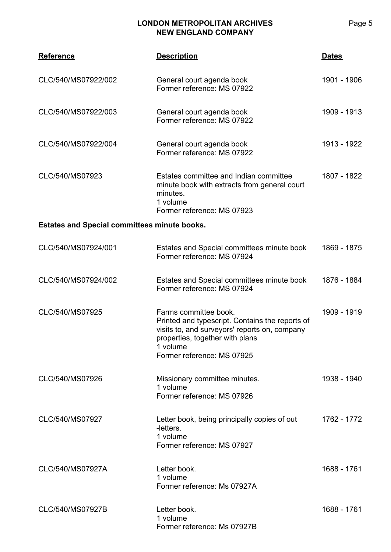| <b>Reference</b>                                    | <b>Description</b>                                                                                                                                                                                     | <b>Dates</b> |
|-----------------------------------------------------|--------------------------------------------------------------------------------------------------------------------------------------------------------------------------------------------------------|--------------|
| CLC/540/MS07922/002                                 | General court agenda book<br>Former reference: MS 07922                                                                                                                                                | 1901 - 1906  |
| CLC/540/MS07922/003                                 | General court agenda book<br>Former reference: MS 07922                                                                                                                                                | 1909 - 1913  |
| CLC/540/MS07922/004                                 | General court agenda book<br>Former reference: MS 07922                                                                                                                                                | 1913 - 1922  |
| CLC/540/MS07923                                     | Estates committee and Indian committee<br>minute book with extracts from general court<br>minutes.<br>1 volume<br>Former reference: MS 07923                                                           | 1807 - 1822  |
| <b>Estates and Special committees minute books.</b> |                                                                                                                                                                                                        |              |
| CLC/540/MS07924/001                                 | Estates and Special committees minute book<br>Former reference: MS 07924                                                                                                                               | 1869 - 1875  |
| CLC/540/MS07924/002                                 | Estates and Special committees minute book<br>Former reference: MS 07924                                                                                                                               | 1876 - 1884  |
| CLC/540/MS07925                                     | Farms committee book.<br>Printed and typescript. Contains the reports of<br>visits to, and surveyors' reports on, company<br>properties, together with plans<br>1 volume<br>Former reference: MS 07925 | 1909 - 1919  |
| CLC/540/MS07926                                     | Missionary committee minutes.<br>1 volume<br>Former reference: MS 07926                                                                                                                                | 1938 - 1940  |
| CLC/540/MS07927                                     | Letter book, being principally copies of out<br>-letters.<br>1 volume<br>Former reference: MS 07927                                                                                                    | 1762 - 1772  |
| CLC/540/MS07927A                                    | Letter book.<br>1 volume<br>Former reference: Ms 07927A                                                                                                                                                | 1688 - 1761  |
| CLC/540/MS07927B                                    | Letter book.<br>1 volume<br>Former reference: Ms 07927B                                                                                                                                                | 1688 - 1761  |

Page 5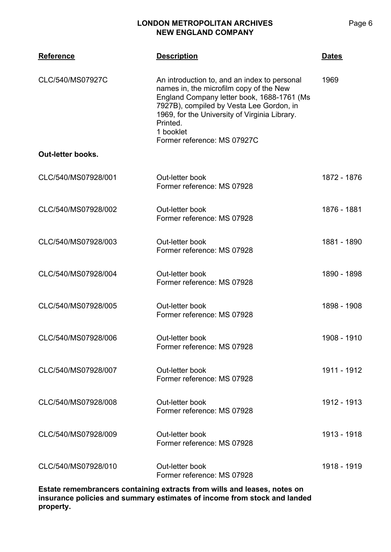| <b>Reference</b>         | <b>Description</b>                                                                                                                                                                                                                                                                         | <b>Dates</b> |
|--------------------------|--------------------------------------------------------------------------------------------------------------------------------------------------------------------------------------------------------------------------------------------------------------------------------------------|--------------|
| CLC/540/MS07927C         | An introduction to, and an index to personal<br>names in, the microfilm copy of the New<br>England Company letter book, 1688-1761 (Ms<br>7927B), compiled by Vesta Lee Gordon, in<br>1969, for the University of Virginia Library.<br>Printed.<br>1 booklet<br>Former reference: MS 07927C | 1969         |
| <b>Out-letter books.</b> |                                                                                                                                                                                                                                                                                            |              |
| CLC/540/MS07928/001      | Out-letter book<br>Former reference: MS 07928                                                                                                                                                                                                                                              | 1872 - 1876  |
| CLC/540/MS07928/002      | Out-letter book<br>Former reference: MS 07928                                                                                                                                                                                                                                              | 1876 - 1881  |
| CLC/540/MS07928/003      | Out-letter book<br>Former reference: MS 07928                                                                                                                                                                                                                                              | 1881 - 1890  |
| CLC/540/MS07928/004      | Out-letter book<br>Former reference: MS 07928                                                                                                                                                                                                                                              | 1890 - 1898  |
| CLC/540/MS07928/005      | Out-letter book<br>Former reference: MS 07928                                                                                                                                                                                                                                              | 1898 - 1908  |
| CLC/540/MS07928/006      | Out-letter book<br>Former reference: MS 07928                                                                                                                                                                                                                                              | 1908 - 1910  |
| CLC/540/MS07928/007      | Out-letter book<br>Former reference: MS 07928                                                                                                                                                                                                                                              | 1911 - 1912  |
| CLC/540/MS07928/008      | Out-letter book<br>Former reference: MS 07928                                                                                                                                                                                                                                              | 1912 - 1913  |
| CLC/540/MS07928/009      | Out-letter book<br>Former reference: MS 07928                                                                                                                                                                                                                                              | 1913 - 1918  |
|                          |                                                                                                                                                                                                                                                                                            |              |

CLC/540/MS07928/010 Out-letter book Former reference: MS 07928 1918 - 1919

**Estate remembrancers containing extracts from wills and leases, notes on insurance policies and summary estimates of income from stock and landed property.**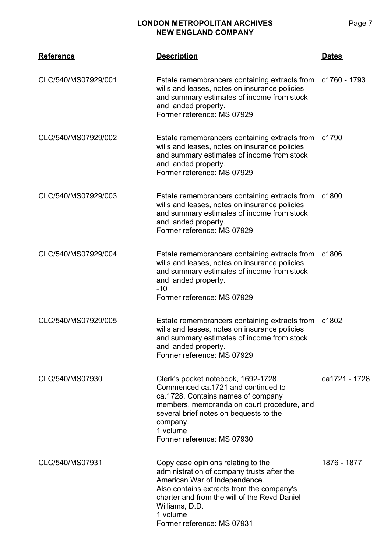| <b>Reference</b>    | <b>Description</b>                                                                                                                                                                                                                                                         | <u>Dates</u>  |
|---------------------|----------------------------------------------------------------------------------------------------------------------------------------------------------------------------------------------------------------------------------------------------------------------------|---------------|
| CLC/540/MS07929/001 | Estate remembrancers containing extracts from c1760 - 1793<br>wills and leases, notes on insurance policies<br>and summary estimates of income from stock<br>and landed property.<br>Former reference: MS 07929                                                            |               |
| CLC/540/MS07929/002 | Estate remembrancers containing extracts from<br>wills and leases, notes on insurance policies<br>and summary estimates of income from stock<br>and landed property.<br>Former reference: MS 07929                                                                         | c1790         |
| CLC/540/MS07929/003 | Estate remembrancers containing extracts from<br>wills and leases, notes on insurance policies<br>and summary estimates of income from stock<br>and landed property.<br>Former reference: MS 07929                                                                         | c1800         |
| CLC/540/MS07929/004 | Estate remembrancers containing extracts from<br>wills and leases, notes on insurance policies<br>and summary estimates of income from stock<br>and landed property.<br>$-10$<br>Former reference: MS 07929                                                                | c1806         |
| CLC/540/MS07929/005 | Estate remembrancers containing extracts from<br>wills and leases, notes on insurance policies<br>and summary estimates of income from stock<br>and landed property.<br>Former reference: MS 07929                                                                         | c1802         |
| CLC/540/MS07930     | Clerk's pocket notebook, 1692-1728.<br>Commenced ca.1721 and continued to<br>ca.1728. Contains names of company<br>members, memoranda on court procedure, and<br>several brief notes on bequests to the<br>company.<br>1 volume<br>Former reference: MS 07930              | ca1721 - 1728 |
| CLC/540/MS07931     | Copy case opinions relating to the<br>administration of company trusts after the<br>American War of Independence.<br>Also contains extracts from the company's<br>charter and from the will of the Revd Daniel<br>Williams, D.D.<br>1 volume<br>Former reference: MS 07931 | 1876 - 1877   |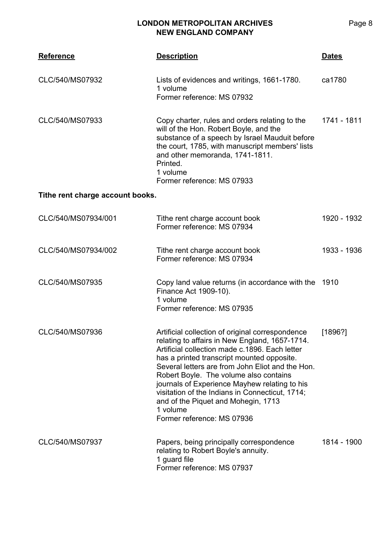| <b>Reference</b>                 | <b>Description</b>                                                                                                                                                                                                                                                                                                                                                                                                                                                                    | <u>Dates</u> |
|----------------------------------|---------------------------------------------------------------------------------------------------------------------------------------------------------------------------------------------------------------------------------------------------------------------------------------------------------------------------------------------------------------------------------------------------------------------------------------------------------------------------------------|--------------|
| CLC/540/MS07932                  | Lists of evidences and writings, 1661-1780.<br>1 volume<br>Former reference: MS 07932                                                                                                                                                                                                                                                                                                                                                                                                 | ca1780       |
| CLC/540/MS07933                  | Copy charter, rules and orders relating to the<br>will of the Hon. Robert Boyle, and the<br>substance of a speech by Israel Mauduit before<br>the court, 1785, with manuscript members' lists<br>and other memoranda, 1741-1811.<br>Printed.<br>1 volume<br>Former reference: MS 07933                                                                                                                                                                                                | 1741 - 1811  |
| Tithe rent charge account books. |                                                                                                                                                                                                                                                                                                                                                                                                                                                                                       |              |
| CLC/540/MS07934/001              | Tithe rent charge account book<br>Former reference: MS 07934                                                                                                                                                                                                                                                                                                                                                                                                                          | 1920 - 1932  |
| CLC/540/MS07934/002              | Tithe rent charge account book<br>Former reference: MS 07934                                                                                                                                                                                                                                                                                                                                                                                                                          | 1933 - 1936  |
| CLC/540/MS07935                  | Copy land value returns (in accordance with the<br>Finance Act 1909-10).<br>1 volume<br>Former reference: MS 07935                                                                                                                                                                                                                                                                                                                                                                    | 1910         |
| CLC/540/MS07936                  | Artificial collection of original correspondence<br>relating to affairs in New England, 1657-1714.<br>Artificial collection made c.1896. Each letter<br>has a printed transcript mounted opposite.<br>Several letters are from John Eliot and the Hon.<br>Robert Boyle. The volume also contains<br>journals of Experience Mayhew relating to his<br>visitation of the Indians in Connecticut, 1714;<br>and of the Piquet and Mohegin, 1713<br>1 volume<br>Former reference: MS 07936 | [1896?]      |
| CLC/540/MS07937                  | Papers, being principally correspondence<br>relating to Robert Boyle's annuity.<br>1 guard file<br>Former reference: MS 07937                                                                                                                                                                                                                                                                                                                                                         | 1814 - 1900  |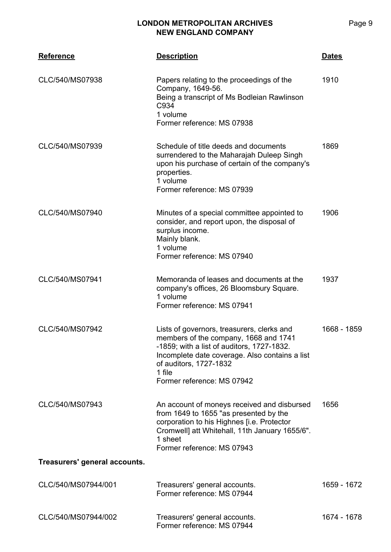| <b>Reference</b>              | <b>Description</b>                                                                                                                                                                                                                                    | <b>Dates</b> |
|-------------------------------|-------------------------------------------------------------------------------------------------------------------------------------------------------------------------------------------------------------------------------------------------------|--------------|
| CLC/540/MS07938               | Papers relating to the proceedings of the<br>Company, 1649-56.<br>Being a transcript of Ms Bodleian Rawlinson<br>C934<br>1 volume<br>Former reference: MS 07938                                                                                       | 1910         |
| CLC/540/MS07939               | Schedule of title deeds and documents<br>surrendered to the Maharajah Duleep Singh<br>upon his purchase of certain of the company's<br>properties.<br>1 volume<br>Former reference: MS 07939                                                          | 1869         |
| CLC/540/MS07940               | Minutes of a special committee appointed to<br>consider, and report upon, the disposal of<br>surplus income.<br>Mainly blank.<br>1 volume<br>Former reference: MS 07940                                                                               | 1906         |
| CLC/540/MS07941               | Memoranda of leases and documents at the<br>company's offices, 26 Bloomsbury Square.<br>1 volume<br>Former reference: MS 07941                                                                                                                        | 1937         |
| CLC/540/MS07942               | Lists of governors, treasurers, clerks and<br>members of the company, 1668 and 1741<br>-1859; with a list of auditors, 1727-1832.<br>Incomplete date coverage. Also contains a list<br>of auditors, 1727-1832<br>1 file<br>Former reference: MS 07942 | 1668 - 1859  |
| CLC/540/MS07943               | An account of moneys received and disbursed<br>from 1649 to 1655 "as presented by the<br>corporation to his Highnes [i.e. Protector<br>Cromwell] att Whitehall, 11th January 1655/6".<br>1 sheet<br>Former reference: MS 07943                        | 1656         |
| Treasurers' general accounts. |                                                                                                                                                                                                                                                       |              |
| CLC/540/MS07944/001           | Treasurers' general accounts.<br>Former reference: MS 07944                                                                                                                                                                                           | 1659 - 1672  |
| CLC/540/MS07944/002           | Treasurers' general accounts.<br>Former reference: MS 07944                                                                                                                                                                                           | 1674 - 1678  |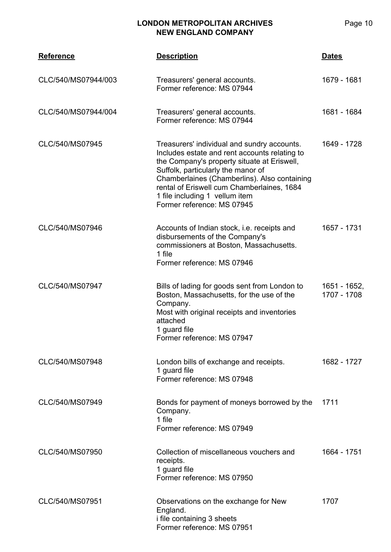|           | <b>LONDON METROPOLITAN ARCHIVES</b> |              |
|-----------|-------------------------------------|--------------|
| Reference | <b>Description</b>                  | <b>Dates</b> |

| .                   | ,,,,,,,,,,                                                                                                                                                                                                                                                                                                                                      |                             |
|---------------------|-------------------------------------------------------------------------------------------------------------------------------------------------------------------------------------------------------------------------------------------------------------------------------------------------------------------------------------------------|-----------------------------|
| CLC/540/MS07944/003 | Treasurers' general accounts.<br>Former reference: MS 07944                                                                                                                                                                                                                                                                                     | 1679 - 1681                 |
| CLC/540/MS07944/004 | Treasurers' general accounts.<br>Former reference: MS 07944                                                                                                                                                                                                                                                                                     | 1681 - 1684                 |
| CLC/540/MS07945     | Treasurers' individual and sundry accounts.<br>Includes estate and rent accounts relating to<br>the Company's property situate at Eriswell,<br>Suffolk, particularly the manor of<br>Chamberlaines (Chamberlins). Also containing<br>rental of Eriswell cum Chamberlaines, 1684<br>1 file including 1 vellum item<br>Former reference: MS 07945 | 1649 - 1728                 |
| CLC/540/MS07946     | Accounts of Indian stock, i.e. receipts and<br>disbursements of the Company's<br>commissioners at Boston, Massachusetts.<br>1 file<br>Former reference: MS 07946                                                                                                                                                                                | 1657 - 1731                 |
| CLC/540/MS07947     | Bills of lading for goods sent from London to<br>Boston, Massachusetts, for the use of the<br>Company.<br>Most with original receipts and inventories<br>attached<br>1 guard file<br>Former reference: MS 07947                                                                                                                                 | 1651 - 1652,<br>1707 - 1708 |
| CLC/540/MS07948     | London bills of exchange and receipts.<br>1 guard file<br>Former reference: MS 07948                                                                                                                                                                                                                                                            | 1682 - 1727                 |
| CLC/540/MS07949     | Bonds for payment of moneys borrowed by the<br>Company.<br>1 file<br>Former reference: MS 07949                                                                                                                                                                                                                                                 | 1711                        |
| CLC/540/MS07950     | Collection of miscellaneous vouchers and<br>receipts.<br>1 guard file<br>Former reference: MS 07950                                                                                                                                                                                                                                             | 1664 - 1751                 |
| CLC/540/MS07951     | Observations on the exchange for New<br>England.<br>i file containing 3 sheets<br>Former reference: MS 07951                                                                                                                                                                                                                                    | 1707                        |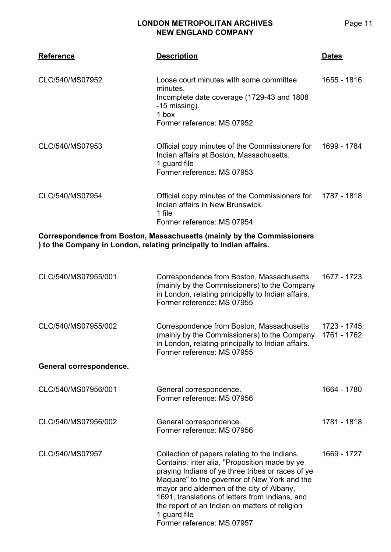| <b>Reference</b>                                                                                                                              | <b>Description</b>                                                                                                                                                                                                                                                                                                                                                                                  | <b>Dates</b>                |
|-----------------------------------------------------------------------------------------------------------------------------------------------|-----------------------------------------------------------------------------------------------------------------------------------------------------------------------------------------------------------------------------------------------------------------------------------------------------------------------------------------------------------------------------------------------------|-----------------------------|
| CLC/540/MS07952                                                                                                                               | Loose court minutes with some committee<br>minutes.<br>Incomplete date coverage (1729-43 and 1808)<br>-15 missing).<br>1 box<br>Former reference: MS 07952                                                                                                                                                                                                                                          | 1655 - 1816                 |
| CLC/540/MS07953                                                                                                                               | Official copy minutes of the Commissioners for<br>Indian affairs at Boston, Massachusetts.<br>1 guard file<br>Former reference: MS 07953                                                                                                                                                                                                                                                            | 1699 - 1784                 |
| CLC/540/MS07954                                                                                                                               | Official copy minutes of the Commissioners for<br>Indian affairs in New Brunswick.<br>1 file<br>Former reference: MS 07954                                                                                                                                                                                                                                                                          | 1787 - 1818                 |
| Correspondence from Boston, Massachusetts (mainly by the Commissioners<br>) to the Company in London, relating principally to Indian affairs. |                                                                                                                                                                                                                                                                                                                                                                                                     |                             |
| CLC/540/MS07955/001                                                                                                                           | Correspondence from Boston, Massachusetts<br>(mainly by the Commissioners) to the Company<br>in London, relating principally to Indian affairs.<br>Former reference: MS 07955                                                                                                                                                                                                                       | 1677 - 1723                 |
| CLC/540/MS07955/002                                                                                                                           | Correspondence from Boston, Massachusetts<br>(mainly by the Commissioners) to the Company<br>in London, relating principally to Indian affairs.<br>Former reference: MS 07955                                                                                                                                                                                                                       | 1723 - 1745,<br>1761 - 1762 |
| General correspondence.                                                                                                                       |                                                                                                                                                                                                                                                                                                                                                                                                     |                             |
| CLC/540/MS07956/001                                                                                                                           | General correspondence.<br>Former reference: MS 07956                                                                                                                                                                                                                                                                                                                                               | 1664 - 1780                 |
| CLC/540/MS07956/002                                                                                                                           | General correspondence.<br>Former reference: MS 07956                                                                                                                                                                                                                                                                                                                                               | 1781 - 1818                 |
| CLC/540/MS07957                                                                                                                               | Collection of papers relating to the Indians.<br>Contains, inter alia, "Proposition made by ye<br>praying Indians of ye three tribes or races of ye<br>Maquare" to the governor of New York and the<br>mayor and aldermen of the city of Albany,<br>1691, translations of letters from Indians, and<br>the report of an Indian on matters of religion<br>1 guard file<br>Former reference: MS 07957 | 1669 - 1727                 |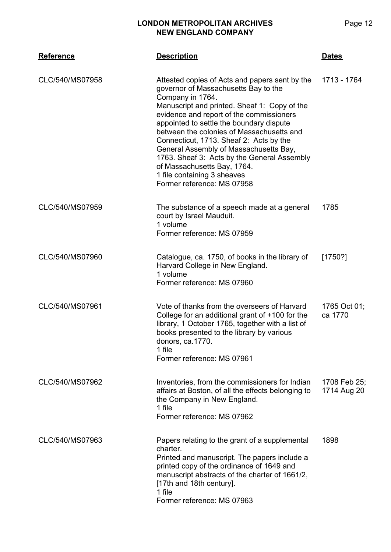| <b>Reference</b> | <b>Description</b>                                                                                                                                                                                                                                                                                                                                                                                                                                                                                                              | <u>Dates</u>                |
|------------------|---------------------------------------------------------------------------------------------------------------------------------------------------------------------------------------------------------------------------------------------------------------------------------------------------------------------------------------------------------------------------------------------------------------------------------------------------------------------------------------------------------------------------------|-----------------------------|
| CLC/540/MS07958  | Attested copies of Acts and papers sent by the<br>governor of Massachusetts Bay to the<br>Company in 1764.<br>Manuscript and printed. Sheaf 1: Copy of the<br>evidence and report of the commissioners<br>appointed to settle the boundary dispute<br>between the colonies of Massachusetts and<br>Connecticut, 1713. Sheaf 2: Acts by the<br>General Assembly of Massachusetts Bay,<br>1763. Sheaf 3: Acts by the General Assembly<br>of Massachusetts Bay, 1764.<br>1 file containing 3 sheaves<br>Former reference: MS 07958 | 1713 - 1764                 |
| CLC/540/MS07959  | The substance of a speech made at a general<br>court by Israel Mauduit.<br>1 volume<br>Former reference: MS 07959                                                                                                                                                                                                                                                                                                                                                                                                               | 1785                        |
| CLC/540/MS07960  | Catalogue, ca. 1750, of books in the library of<br>Harvard College in New England.<br>1 volume<br>Former reference: MS 07960                                                                                                                                                                                                                                                                                                                                                                                                    | [1750?]                     |
| CLC/540/MS07961  | Vote of thanks from the overseers of Harvard<br>College for an additional grant of $+100$ for the<br>library, 1 October 1765, together with a list of<br>books presented to the library by various<br>donors, ca.1770.<br>1 file<br>Former reference: MS 07961                                                                                                                                                                                                                                                                  | 1765 Oct 01;<br>ca 1770     |
| CLC/540/MS07962  | Inventories, from the commissioners for Indian<br>affairs at Boston, of all the effects belonging to<br>the Company in New England.<br>1 file<br>Former reference: MS 07962                                                                                                                                                                                                                                                                                                                                                     | 1708 Feb 25;<br>1714 Aug 20 |
| CLC/540/MS07963  | Papers relating to the grant of a supplemental<br>charter.<br>Printed and manuscript. The papers include a<br>printed copy of the ordinance of 1649 and<br>manuscript abstracts of the charter of 1661/2,<br>[17th and 18th century].<br>1 file<br>Former reference: MS 07963                                                                                                                                                                                                                                                   | 1898                        |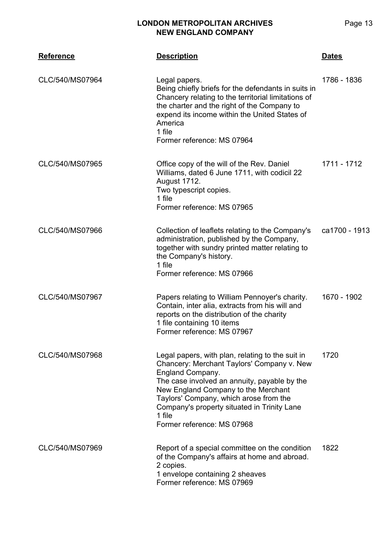| <b>LONDON METROPOLITAN ARCHIVES</b> |  |
|-------------------------------------|--|
| <b>NEW ENGLAND COMPANY</b>          |  |

| <b>Reference</b> | <b>Description</b>                                                                                                                                                                                                                                                                                                                         | <b>Dates</b>  |
|------------------|--------------------------------------------------------------------------------------------------------------------------------------------------------------------------------------------------------------------------------------------------------------------------------------------------------------------------------------------|---------------|
| CLC/540/MS07964  | Legal papers.<br>Being chiefly briefs for the defendants in suits in<br>Chancery relating to the territorial limitations of<br>the charter and the right of the Company to<br>expend its income within the United States of<br>America<br>1 file<br>Former reference: MS 07964                                                             | 1786 - 1836   |
| CLC/540/MS07965  | Office copy of the will of the Rev. Daniel<br>Williams, dated 6 June 1711, with codicil 22<br>August 1712.<br>Two typescript copies.<br>1 file<br>Former reference: MS 07965                                                                                                                                                               | 1711 - 1712   |
| CLC/540/MS07966  | Collection of leaflets relating to the Company's<br>administration, published by the Company,<br>together with sundry printed matter relating to<br>the Company's history.<br>1 file<br>Former reference: MS 07966                                                                                                                         | ca1700 - 1913 |
| CLC/540/MS07967  | Papers relating to William Pennoyer's charity.<br>Contain, inter alia, extracts from his will and<br>reports on the distribution of the charity<br>1 file containing 10 items<br>Former reference: MS 07967                                                                                                                                | 1670 - 1902   |
| CLC/540/MS07968  | Legal papers, with plan, relating to the suit in<br>Chancery: Merchant Taylors' Company v. New<br>England Company.<br>The case involved an annuity, payable by the<br>New England Company to the Merchant<br>Taylors' Company, which arose from the<br>Company's property situated in Trinity Lane<br>1 file<br>Former reference: MS 07968 | 1720          |
| CLC/540/MS07969  | Report of a special committee on the condition<br>of the Company's affairs at home and abroad.<br>2 copies.<br>1 envelope containing 2 sheaves<br>Former reference: MS 07969                                                                                                                                                               | 1822          |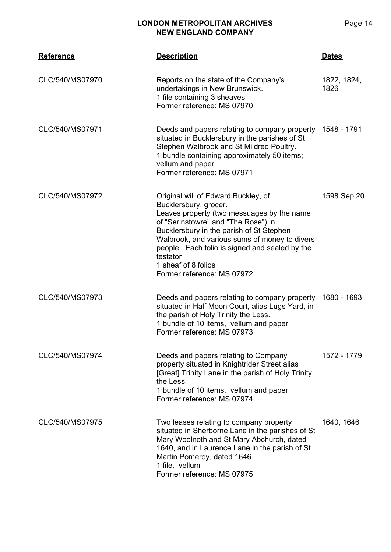| <b>Reference</b> | <b>Description</b>                                                                                                                                                                                                                                                                                                                                                | <b>Dates</b>        |
|------------------|-------------------------------------------------------------------------------------------------------------------------------------------------------------------------------------------------------------------------------------------------------------------------------------------------------------------------------------------------------------------|---------------------|
| CLC/540/MS07970  | Reports on the state of the Company's<br>undertakings in New Brunswick.<br>1 file containing 3 sheaves<br>Former reference: MS 07970                                                                                                                                                                                                                              | 1822, 1824,<br>1826 |
| CLC/540/MS07971  | Deeds and papers relating to company property<br>situated in Bucklersbury in the parishes of St<br>Stephen Walbrook and St Mildred Poultry.<br>1 bundle containing approximately 50 items;<br>vellum and paper<br>Former reference: MS 07971                                                                                                                      | 1548 - 1791         |
| CLC/540/MS07972  | Original will of Edward Buckley, of<br>Bucklersbury, grocer.<br>Leaves property (two messuages by the name<br>of "Serinstowre" and "The Rose") in<br>Bucklersbury in the parish of St Stephen<br>Walbrook, and various sums of money to divers<br>people. Each folio is signed and sealed by the<br>testator<br>1 sheaf of 8 folios<br>Former reference: MS 07972 | 1598 Sep 20         |
| CLC/540/MS07973  | Deeds and papers relating to company property 1680 - 1693<br>situated in Half Moon Court, alias Lugs Yard, in<br>the parish of Holy Trinity the Less.<br>1 bundle of 10 items, vellum and paper<br>Former reference: MS 07973                                                                                                                                     |                     |
| CLC/540/MS07974  | Deeds and papers relating to Company<br>property situated in Knightrider Street alias<br>[Great] Trinity Lane in the parish of Holy Trinity<br>the Less.<br>1 bundle of 10 items, vellum and paper<br>Former reference: MS 07974                                                                                                                                  | 1572 - 1779         |
| CLC/540/MS07975  | Two leases relating to company property<br>situated in Sherborne Lane in the parishes of St<br>Mary Woolnoth and St Mary Abchurch, dated<br>1640, and in Laurence Lane in the parish of St<br>Martin Pomeroy, dated 1646.<br>1 file, vellum<br>Former reference: MS 07975                                                                                         | 1640, 1646          |

Page 14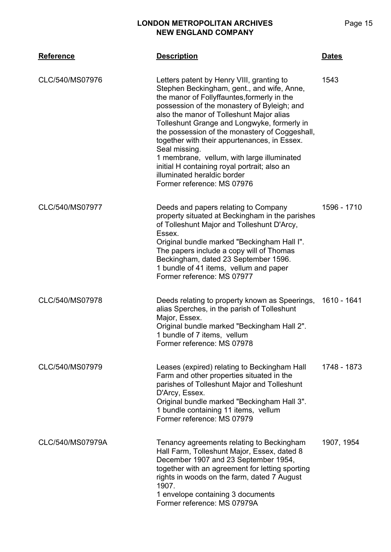| <b>Reference</b> | <b>Description</b>                                                                                                                                                                                                                                                                                                                                                                                                                                                                                                                                             | <b>Dates</b> |
|------------------|----------------------------------------------------------------------------------------------------------------------------------------------------------------------------------------------------------------------------------------------------------------------------------------------------------------------------------------------------------------------------------------------------------------------------------------------------------------------------------------------------------------------------------------------------------------|--------------|
| CLC/540/MS07976  | Letters patent by Henry VIII, granting to<br>Stephen Beckingham, gent., and wife, Anne,<br>the manor of Follyffauntes, formerly in the<br>possession of the monastery of Byleigh; and<br>also the manor of Tolleshunt Major alias<br>Tolleshunt Grange and Longwyke, formerly in<br>the possession of the monastery of Coggeshall,<br>together with their appurtenances, in Essex.<br>Seal missing.<br>1 membrane, vellum, with large illuminated<br>initial H containing royal portrait; also an<br>illuminated heraldic border<br>Former reference: MS 07976 | 1543         |
| CLC/540/MS07977  | Deeds and papers relating to Company<br>property situated at Beckingham in the parishes<br>of Tolleshunt Major and Tolleshunt D'Arcy,<br>Essex.<br>Original bundle marked "Beckingham Hall I".<br>The papers include a copy will of Thomas<br>Beckingham, dated 23 September 1596.<br>1 bundle of 41 items, vellum and paper<br>Former reference: MS 07977                                                                                                                                                                                                     | 1596 - 1710  |
| CLC/540/MS07978  | Deeds relating to property known as Speerings,<br>alias Sperches, in the parish of Tolleshunt<br>Major, Essex.<br>Original bundle marked "Beckingham Hall 2".<br>1 bundle of 7 items, vellum<br>Former reference: MS 07978                                                                                                                                                                                                                                                                                                                                     | 1610 - 1641  |
| CLC/540/MS07979  | Leases (expired) relating to Beckingham Hall<br>Farm and other properties situated in the<br>parishes of Tolleshunt Major and Tolleshunt<br>D'Arcy, Essex.<br>Original bundle marked "Beckingham Hall 3".<br>1 bundle containing 11 items, vellum<br>Former reference: MS 07979                                                                                                                                                                                                                                                                                | 1748 - 1873  |
| CLC/540/MS07979A | Tenancy agreements relating to Beckingham<br>Hall Farm, Tolleshunt Major, Essex, dated 8<br>December 1907 and 23 September 1954,<br>together with an agreement for letting sporting<br>rights in woods on the farm, dated 7 August<br>1907.<br>1 envelope containing 3 documents<br>Former reference: MS 07979A                                                                                                                                                                                                                                                | 1907, 1954   |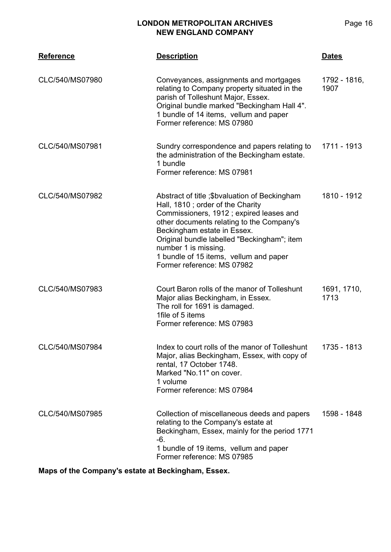| <b>Reference</b> | <b>Description</b>                                                                                                                                                                                                                                                                                                                                       | <b>Dates</b>         |
|------------------|----------------------------------------------------------------------------------------------------------------------------------------------------------------------------------------------------------------------------------------------------------------------------------------------------------------------------------------------------------|----------------------|
| CLC/540/MS07980  | Conveyances, assignments and mortgages<br>relating to Company property situated in the<br>parish of Tolleshunt Major, Essex.<br>Original bundle marked "Beckingham Hall 4".<br>1 bundle of 14 items, vellum and paper<br>Former reference: MS 07980                                                                                                      | 1792 - 1816,<br>1907 |
| CLC/540/MS07981  | Sundry correspondence and papers relating to<br>the administration of the Beckingham estate.<br>1 bundle<br>Former reference: MS 07981                                                                                                                                                                                                                   | 1711 - 1913          |
| CLC/540/MS07982  | Abstract of title ; \$bvaluation of Beckingham<br>Hall, 1810; order of the Charity<br>Commissioners, 1912; expired leases and<br>other documents relating to the Company's<br>Beckingham estate in Essex.<br>Original bundle labelled "Beckingham"; item<br>number 1 is missing.<br>1 bundle of 15 items, vellum and paper<br>Former reference: MS 07982 | 1810 - 1912          |
| CLC/540/MS07983  | Court Baron rolls of the manor of Tolleshunt<br>Major alias Beckingham, in Essex.<br>The roll for 1691 is damaged.<br>1file of 5 items<br>Former reference: MS 07983                                                                                                                                                                                     | 1691, 1710,<br>1713  |
| CLC/540/MS07984  | Index to court rolls of the manor of Tolleshunt<br>Major, alias Beckingham, Essex, with copy of<br>rental, 17 October 1748.<br>Marked "No.11" on cover.<br>1 volume<br>Former reference: MS 07984                                                                                                                                                        | 1735 - 1813          |
| CLC/540/MS07985  | Collection of miscellaneous deeds and papers<br>relating to the Company's estate at<br>Beckingham, Essex, mainly for the period 1771<br>$-6.$<br>1 bundle of 19 items, vellum and paper<br>Former reference: MS 07985                                                                                                                                    | 1598 - 1848          |

**Maps of the Company's estate at Beckingham, Essex.**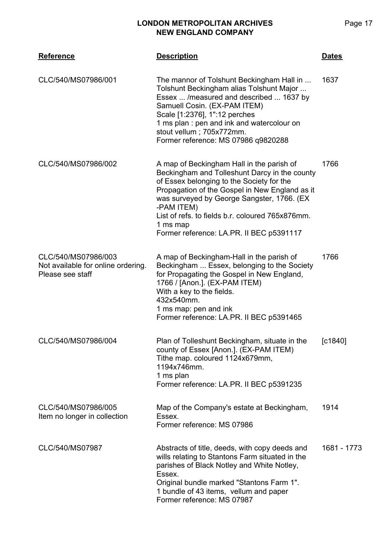| <b>Reference</b>                                                              | <b>Description</b>                                                                                                                                                                                                                                                                                                                                                | <b>Dates</b> |
|-------------------------------------------------------------------------------|-------------------------------------------------------------------------------------------------------------------------------------------------------------------------------------------------------------------------------------------------------------------------------------------------------------------------------------------------------------------|--------------|
| CLC/540/MS07986/001                                                           | The mannor of Tolshunt Beckingham Hall in<br>Tolshunt Beckingham alias Tolshunt Major<br>Essex  / measured and described  1637 by<br>Samuell Cosin. (EX-PAM ITEM)<br>Scale [1:2376], 1":12 perches<br>1 ms plan : pen and ink and watercolour on<br>stout vellum; 705x772mm.<br>Former reference: MS 07986 q9820288                                               | 1637         |
| CLC/540/MS07986/002                                                           | A map of Beckingham Hall in the parish of<br>Beckingham and Tolleshunt Darcy in the county<br>of Essex belonging to the Society for the<br>Propagation of the Gospel in New England as it<br>was surveyed by George Sangster, 1766. (EX<br>-PAM ITEM)<br>List of refs. to fields b.r. coloured 765x876mm.<br>1 ms map<br>Former reference: LA.PR. II BEC p5391117 | 1766         |
| CLC/540/MS07986/003<br>Not available for online ordering.<br>Please see staff | A map of Beckingham-Hall in the parish of<br>Beckingham  Essex, belonging to the Society<br>for Propagating the Gospel in New England,<br>1766 / [Anon.]. (EX-PAM ITEM)<br>With a key to the fields.<br>432x540mm.<br>1 ms map: pen and ink<br>Former reference: LA.PR. II BEC p5391465                                                                           | 1766         |
| CLC/540/MS07986/004                                                           | Plan of Tolleshunt Beckingham, situate in the<br>county of Essex [Anon.]. (EX-PAM ITEM)<br>Tithe map. coloured 1124x679mm,<br>1194x746mm.<br>1 ms plan<br>Former reference: LA.PR. II BEC p5391235                                                                                                                                                                | [C1840]      |
| CLC/540/MS07986/005<br>Item no longer in collection                           | Map of the Company's estate at Beckingham,<br>Essex.<br>Former reference: MS 07986                                                                                                                                                                                                                                                                                | 1914         |
| CLC/540/MS07987                                                               | Abstracts of title, deeds, with copy deeds and<br>wills relating to Stantons Farm situated in the<br>parishes of Black Notley and White Notley,<br>Essex.<br>Original bundle marked "Stantons Farm 1".<br>1 bundle of 43 items, vellum and paper<br>Former reference: MS 07987                                                                                    | 1681 - 1773  |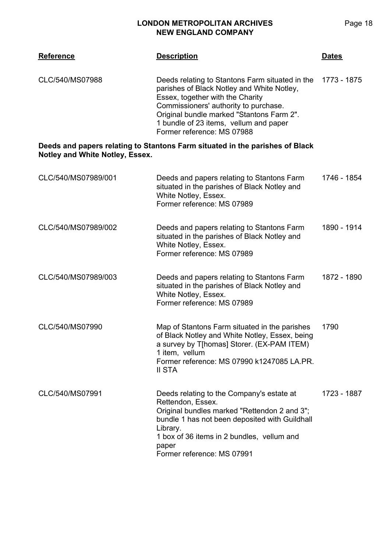| <b>Reference</b>                       | <b>Description</b>                                                                                                                                                                                                                                                                              | <u>Dates</u> |
|----------------------------------------|-------------------------------------------------------------------------------------------------------------------------------------------------------------------------------------------------------------------------------------------------------------------------------------------------|--------------|
| CLC/540/MS07988                        | Deeds relating to Stantons Farm situated in the<br>parishes of Black Notley and White Notley,<br>Essex, together with the Charity<br>Commissioners' authority to purchase.<br>Original bundle marked "Stantons Farm 2".<br>1 bundle of 23 items, vellum and paper<br>Former reference: MS 07988 | 1773 - 1875  |
| <b>Notley and White Notley, Essex.</b> | Deeds and papers relating to Stantons Farm situated in the parishes of Black                                                                                                                                                                                                                    |              |
| CLC/540/MS07989/001                    | Deeds and papers relating to Stantons Farm<br>situated in the parishes of Black Notley and<br>White Notley, Essex.<br>Former reference: MS 07989                                                                                                                                                | 1746 - 1854  |
| CLC/540/MS07989/002                    | Deeds and papers relating to Stantons Farm<br>situated in the parishes of Black Notley and<br>White Notley, Essex.<br>Former reference: MS 07989                                                                                                                                                | 1890 - 1914  |
| CLC/540/MS07989/003                    | Deeds and papers relating to Stantons Farm<br>situated in the parishes of Black Notley and<br>White Notley, Essex.<br>Former reference: MS 07989                                                                                                                                                | 1872 - 1890  |
| CLC/540/MS07990                        | Map of Stantons Farm situated in the parishes<br>of Black Notley and White Notley, Essex, being<br>a survey by T[homas] Storer. (EX-PAM ITEM)<br>1 item, vellum<br>Former reference: MS 07990 k1247085 LA.PR.<br>II STA                                                                         | 1790         |
| CLC/540/MS07991                        | Deeds relating to the Company's estate at<br>Rettendon, Essex.<br>Original bundles marked "Rettendon 2 and 3";<br>bundle 1 has not been deposited with Guildhall<br>Library.<br>1 box of 36 items in 2 bundles, vellum and<br>paper<br>Former reference: MS 07991                               | 1723 - 1887  |

Page 18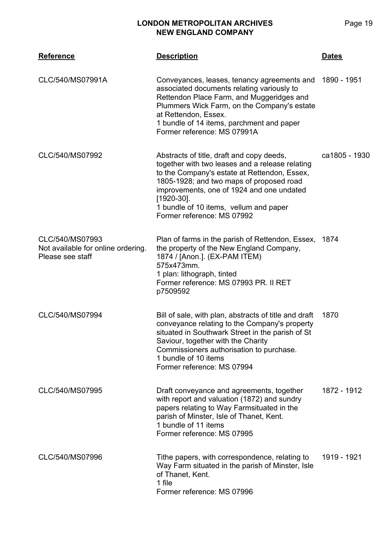| <b>Reference</b>                                                          | <b>Description</b>                                                                                                                                                                                                                                                                                                             | <u>Dates</u>  |
|---------------------------------------------------------------------------|--------------------------------------------------------------------------------------------------------------------------------------------------------------------------------------------------------------------------------------------------------------------------------------------------------------------------------|---------------|
| CLC/540/MS07991A                                                          | Conveyances, leases, tenancy agreements and<br>associated documents relating variously to<br>Rettendon Place Farm, and Muggeridges and<br>Plummers Wick Farm, on the Company's estate<br>at Rettendon, Essex.<br>1 bundle of 14 items, parchment and paper<br>Former reference: MS 07991A                                      | 1890 - 1951   |
| CLC/540/MS07992                                                           | Abstracts of title, draft and copy deeds,<br>together with two leases and a release relating<br>to the Company's estate at Rettendon, Essex,<br>1805-1928; and two maps of proposed road<br>improvements, one of 1924 and one undated<br>$[1920-30]$ .<br>1 bundle of 10 items, vellum and paper<br>Former reference: MS 07992 | ca1805 - 1930 |
| CLC/540/MS07993<br>Not available for online ordering.<br>Please see staff | Plan of farms in the parish of Rettendon, Essex, 1874<br>the property of the New England Company,<br>1874 / [Anon.]. (EX-PAM ITEM)<br>575x473mm.<br>1 plan: lithograph, tinted<br>Former reference: MS 07993 PR. II RET<br>p7509592                                                                                            |               |
| CLC/540/MS07994                                                           | Bill of sale, with plan, abstracts of title and draft<br>conveyance relating to the Company's property<br>situated in Southwark Street in the parish of St<br>Saviour, together with the Charity<br>Commissioners authorisation to purchase.<br>1 bundle of 10 items<br>Former reference: MS 07994                             | 1870          |
| CLC/540/MS07995                                                           | Draft conveyance and agreements, together<br>with report and valuation (1872) and sundry<br>papers relating to Way Farmsituated in the<br>parish of Minster, Isle of Thanet, Kent.<br>1 bundle of 11 items<br>Former reference: MS 07995                                                                                       | 1872 - 1912   |
| CLC/540/MS07996                                                           | Tithe papers, with correspondence, relating to<br>Way Farm situated in the parish of Minster, Isle<br>of Thanet, Kent.<br>1 file<br>Former reference: MS 07996                                                                                                                                                                 | 1919 - 1921   |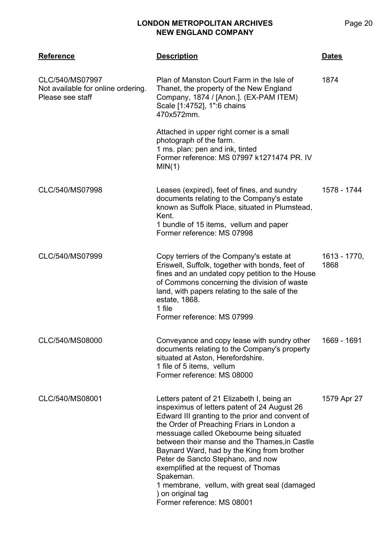| <b>Reference</b>                                                          | <b>Description</b>                                                                                                                                                                                                                                                                                                                                                                                                                                                                                                                 | <u>Dates</u>         |
|---------------------------------------------------------------------------|------------------------------------------------------------------------------------------------------------------------------------------------------------------------------------------------------------------------------------------------------------------------------------------------------------------------------------------------------------------------------------------------------------------------------------------------------------------------------------------------------------------------------------|----------------------|
| CLC/540/MS07997<br>Not available for online ordering.<br>Please see staff | Plan of Manston Court Farm in the Isle of<br>Thanet, the property of the New England<br>Company, 1874 / [Anon.]. (EX-PAM ITEM)<br>Scale [1:4752], 1":6 chains<br>470x572mm.                                                                                                                                                                                                                                                                                                                                                        | 1874                 |
|                                                                           | Attached in upper right corner is a small<br>photograph of the farm.<br>1 ms. plan: pen and ink, tinted<br>Former reference: MS 07997 k1271474 PR. IV<br>MIN(1)                                                                                                                                                                                                                                                                                                                                                                    |                      |
| CLC/540/MS07998                                                           | Leases (expired), feet of fines, and sundry<br>documents relating to the Company's estate<br>known as Suffolk Place, situated in Plumstead,<br>Kent.<br>1 bundle of 15 items, vellum and paper<br>Former reference: MS 07998                                                                                                                                                                                                                                                                                                       | 1578 - 1744          |
| CLC/540/MS07999                                                           | Copy terriers of the Company's estate at<br>Eriswell, Suffolk, together with bonds, feet of<br>fines and an undated copy petition to the House<br>of Commons concerning the division of waste<br>land, with papers relating to the sale of the<br>estate, 1868.<br>1 file<br>Former reference: MS 07999                                                                                                                                                                                                                            | 1613 - 1770,<br>1868 |
| CLC/540/MS08000                                                           | Conveyance and copy lease with sundry other<br>documents relating to the Company's property<br>situated at Aston, Herefordshire.<br>1 file of 5 items, vellum<br>Former reference: MS 08000                                                                                                                                                                                                                                                                                                                                        | 1669 - 1691          |
| CLC/540/MS08001                                                           | Letters patent of 21 Elizabeth I, being an<br>inspeximus of letters patent of 24 August 26<br>Edward III granting to the prior and convent of<br>the Order of Preaching Friars in London a<br>messuage called Okebourne being situated<br>between their manse and the Thames, in Castle<br>Baynard Ward, had by the King from brother<br>Peter de Sancto Stephano, and now<br>exemplified at the request of Thomas<br>Spakeman.<br>1 membrane, vellum, with great seal (damaged<br>) on original tag<br>Former reference: MS 08001 | 1579 Apr 27          |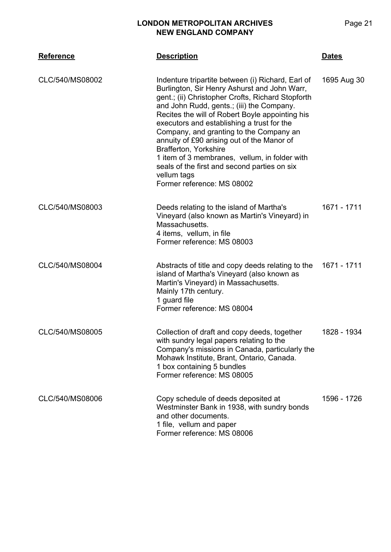| <b>Reference</b> | <b>Description</b>                                                                                                                                                                                                                                                                                                                                                                                                                                                                                                                                                          | <b>Dates</b> |
|------------------|-----------------------------------------------------------------------------------------------------------------------------------------------------------------------------------------------------------------------------------------------------------------------------------------------------------------------------------------------------------------------------------------------------------------------------------------------------------------------------------------------------------------------------------------------------------------------------|--------------|
| CLC/540/MS08002  | Indenture tripartite between (i) Richard, Earl of<br>Burlington, Sir Henry Ashurst and John Warr,<br>gent.; (ii) Christopher Crofts, Richard Stopforth<br>and John Rudd, gents.; (iii) the Company.<br>Recites the will of Robert Boyle appointing his<br>executors and establishing a trust for the<br>Company, and granting to the Company an<br>annuity of £90 arising out of the Manor of<br><b>Brafferton, Yorkshire</b><br>1 item of 3 membranes, vellum, in folder with<br>seals of the first and second parties on six<br>vellum tags<br>Former reference: MS 08002 | 1695 Aug 30  |
| CLC/540/MS08003  | Deeds relating to the island of Martha's<br>Vineyard (also known as Martin's Vineyard) in<br>Massachusetts.<br>4 items, vellum, in file<br>Former reference: MS 08003                                                                                                                                                                                                                                                                                                                                                                                                       | 1671 - 1711  |
| CLC/540/MS08004  | Abstracts of title and copy deeds relating to the<br>island of Martha's Vineyard (also known as<br>Martin's Vineyard) in Massachusetts.<br>Mainly 17th century.<br>1 guard file<br>Former reference: MS 08004                                                                                                                                                                                                                                                                                                                                                               | 1671 - 1711  |
| CLC/540/MS08005  | Collection of draft and copy deeds, together<br>with sundry legal papers relating to the<br>Company's missions in Canada, particularly the<br>Mohawk Institute, Brant, Ontario, Canada.<br>1 box containing 5 bundles<br>Former reference: MS 08005                                                                                                                                                                                                                                                                                                                         | 1828 - 1934  |
| CLC/540/MS08006  | Copy schedule of deeds deposited at<br>Westminster Bank in 1938, with sundry bonds<br>and other documents.<br>1 file, vellum and paper<br>Former reference: MS 08006                                                                                                                                                                                                                                                                                                                                                                                                        | 1596 - 1726  |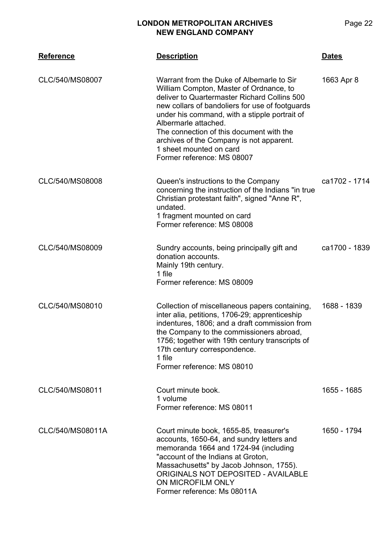## **CLC/540 Reference Description Dates** CLC/540/MS08007 Warrant from the Duke of Albemarle to Sir William Compton, Master of Ordnance, to deliver to Quartermaster Richard Collins 500 new collars of bandoliers for use of footguards under his command, with a stipple portrait of Albermarle attached. The connection of this document with the archives of the Company is not apparent. 1 sheet mounted on card Former reference: MS 08007 1663 Apr 8

| CLC/540/MS08008 | Queen's instructions to the Company                | ca1702 - 1714 |
|-----------------|----------------------------------------------------|---------------|
|                 | concerning the instruction of the Indians "in true |               |
|                 | Christian protestant faith", signed "Anne R",      |               |
|                 | undated.                                           |               |
|                 | 1 fragment mounted on card                         |               |
|                 | Former reference: MS 08008                         |               |

| CLC/540/MS08009 | Sundry accounts, being principally gift and<br>donation accounts.<br>Mainly 19th century.<br>1 file | ca1700 - 1839 |
|-----------------|-----------------------------------------------------------------------------------------------------|---------------|
|                 | Former reference: MS 08009                                                                          |               |

| CLC/540/MS08010 | Collection of miscellaneous papers containing,<br>inter alia, petitions, 1706-29; apprenticeship<br>indentures, 1806; and a draft commission from<br>the Company to the commissioners abroad,<br>1756; together with 19th century transcripts of | 1688 - 1839 |
|-----------------|--------------------------------------------------------------------------------------------------------------------------------------------------------------------------------------------------------------------------------------------------|-------------|
|                 | 17th century correspondence.                                                                                                                                                                                                                     |             |
|                 | 1 file<br>Former reference: MS 08010                                                                                                                                                                                                             |             |

CLC/540/MS08011 Court minute book. 1 volume Former reference: MS 08011 1655 - 1685 CLC/540/MS08011A Court minute book, 1655-85, treasurer's accounts, 1650-64, and sundry letters and memoranda 1664 and 1724-94 (including "account of the Indians at Groton, Massachusetts" by Jacob Johnson, 1755). ORIGINALS NOT DEPOSITED - AVAILABLE ON MICROFILM ONLY Former reference: Ms 08011A 1650 - 1794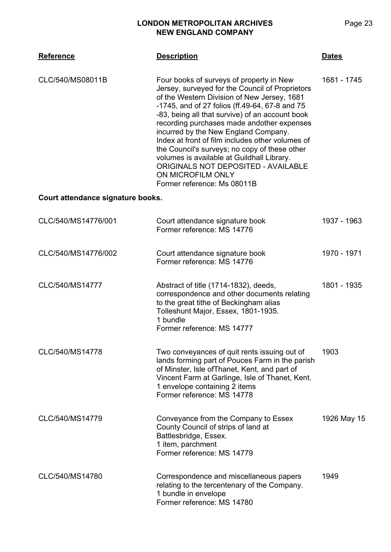| <b>Reference</b>                  | <b>Description</b>                                                                                                                                                                                                                                                                                                                                                                                                                                                                                                                                                                  | <b>Dates</b> |
|-----------------------------------|-------------------------------------------------------------------------------------------------------------------------------------------------------------------------------------------------------------------------------------------------------------------------------------------------------------------------------------------------------------------------------------------------------------------------------------------------------------------------------------------------------------------------------------------------------------------------------------|--------------|
| CLC/540/MS08011B                  | Four books of surveys of property in New<br>Jersey, surveyed for the Council of Proprietors<br>of the Western Division of New Jersey, 1681<br>-1745, and of 27 folios (ff.49-64, 67-8 and 75<br>-83, being all that survive) of an account book<br>recording purchases made andother expenses<br>incurred by the New England Company.<br>Index at front of film includes other volumes of<br>the Council's surveys; no copy of these other<br>volumes is available at Guildhall Library.<br>ORIGINALS NOT DEPOSITED - AVAILABLE<br>ON MICROFILM ONLY<br>Former reference: Ms 08011B | 1681 - 1745  |
| Court attendance signature books. |                                                                                                                                                                                                                                                                                                                                                                                                                                                                                                                                                                                     |              |
| CLC/540/MS14776/001               | Court attendance signature book<br>Former reference: MS 14776                                                                                                                                                                                                                                                                                                                                                                                                                                                                                                                       | 1937 - 1963  |
| CLC/540/MS14776/002               | Court attendance signature book<br>Former reference: MS 14776                                                                                                                                                                                                                                                                                                                                                                                                                                                                                                                       | 1970 - 1971  |
| CLC/540/MS14777                   | Abstract of title (1714-1832), deeds,<br>correspondence and other documents relating<br>to the great tithe of Beckingham alias<br>Tolleshunt Major, Essex, 1801-1935.<br>1 bundle<br>Former reference: MS 14777                                                                                                                                                                                                                                                                                                                                                                     | 1801 - 1935  |
| CLC/540/MS14778                   | Two conveyances of quit rents issuing out of<br>lands forming part of Pouces Farm in the parish<br>of Minster, Isle of Thanet, Kent, and part of<br>Vincent Farm at Garlinge, Isle of Thanet, Kent.<br>1 envelope containing 2 items<br>Former reference: MS 14778                                                                                                                                                                                                                                                                                                                  | 1903         |
| CLC/540/MS14779                   | Conveyance from the Company to Essex<br>County Council of strips of land at<br>Battlesbridge, Essex.<br>1 item, parchment<br>Former reference: MS 14779                                                                                                                                                                                                                                                                                                                                                                                                                             | 1926 May 15  |
| CLC/540/MS14780                   | Correspondence and miscellaneous papers<br>relating to the tercentenary of the Company.<br>1 bundle in envelope<br>Former reference: MS 14780                                                                                                                                                                                                                                                                                                                                                                                                                                       | 1949         |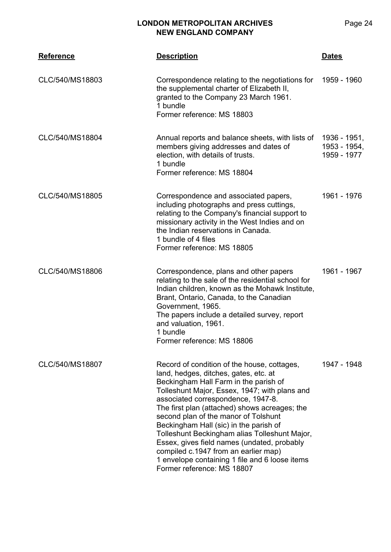| <b>Reference</b> | <b>Description</b>                                                                                                                                                                                                                                                                                                                                                                                                                                                                                                                                                              | <b>Dates</b>                                |
|------------------|---------------------------------------------------------------------------------------------------------------------------------------------------------------------------------------------------------------------------------------------------------------------------------------------------------------------------------------------------------------------------------------------------------------------------------------------------------------------------------------------------------------------------------------------------------------------------------|---------------------------------------------|
| CLC/540/MS18803  | Correspondence relating to the negotiations for<br>the supplemental charter of Elizabeth II,<br>granted to the Company 23 March 1961.<br>1 bundle<br>Former reference: MS 18803                                                                                                                                                                                                                                                                                                                                                                                                 | 1959 - 1960                                 |
| CLC/540/MS18804  | Annual reports and balance sheets, with lists of<br>members giving addresses and dates of<br>election, with details of trusts.<br>1 bundle<br>Former reference: MS 18804                                                                                                                                                                                                                                                                                                                                                                                                        | 1936 - 1951,<br>1953 - 1954,<br>1959 - 1977 |
| CLC/540/MS18805  | Correspondence and associated papers,<br>including photographs and press cuttings,<br>relating to the Company's financial support to<br>missionary activity in the West Indies and on<br>the Indian reservations in Canada.<br>1 bundle of 4 files<br>Former reference: MS 18805                                                                                                                                                                                                                                                                                                | 1961 - 1976                                 |
| CLC/540/MS18806  | Correspondence, plans and other papers<br>relating to the sale of the residential school for<br>Indian children, known as the Mohawk Institute,<br>Brant, Ontario, Canada, to the Canadian<br>Government, 1965.<br>The papers include a detailed survey, report<br>and valuation, 1961.<br>1 bundle<br>Former reference: MS 18806                                                                                                                                                                                                                                               | 1961 - 1967                                 |
| CLC/540/MS18807  | Record of condition of the house, cottages,<br>land, hedges, ditches, gates, etc. at<br>Beckingham Hall Farm in the parish of<br>Tolleshunt Major, Essex, 1947; with plans and<br>associated correspondence, 1947-8.<br>The first plan (attached) shows acreages; the<br>second plan of the manor of Tolshunt<br>Beckingham Hall (sic) in the parish of<br>Tolleshunt Beckingham alias Tolleshunt Major,<br>Essex, gives field names (undated, probably<br>compiled c.1947 from an earlier map)<br>1 envelope containing 1 file and 6 loose items<br>Former reference: MS 18807 | 1947 - 1948                                 |